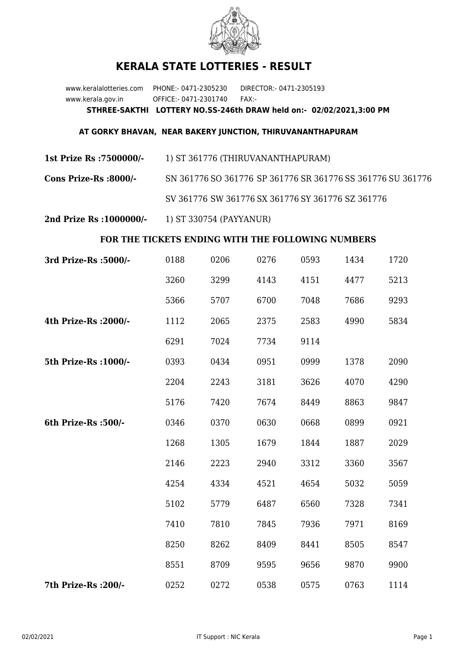

## **KERALA STATE LOTTERIES - RESULT**

www.keralalotteries.com PHONE:- 0471-2305230 DIRECTOR:- 0471-2305193 www.kerala.gov.in OFFICE:- 0471-2301740 FAX:- **STHREE-SAKTHI LOTTERY NO.SS-246th DRAW held on:- 02/02/2021,3:00 PM**

## **AT GORKY BHAVAN, NEAR BAKERY JUNCTION, THIRUVANANTHAPURAM**

**1st Prize Rs :7500000/-** 1) ST 361776 (THIRUVANANTHAPURAM)

**Cons Prize-Rs :8000/-** SN 361776 SO 361776 SP 361776 SR 361776 SS 361776 SU 361776 SV 361776 SW 361776 SX 361776 SY 361776 SZ 361776

**2nd Prize Rs :1000000/-** 1) ST 330754 (PAYYANUR)

## **FOR THE TICKETS ENDING WITH THE FOLLOWING NUMBERS**

| 3rd Prize-Rs : 5000/- | 0188 | 0206 | 0276 | 0593 | 1434 | 1720 |
|-----------------------|------|------|------|------|------|------|
|                       | 3260 | 3299 | 4143 | 4151 | 4477 | 5213 |
|                       | 5366 | 5707 | 6700 | 7048 | 7686 | 9293 |
| 4th Prize-Rs : 2000/- | 1112 | 2065 | 2375 | 2583 | 4990 | 5834 |
|                       | 6291 | 7024 | 7734 | 9114 |      |      |
| 5th Prize-Rs : 1000/- | 0393 | 0434 | 0951 | 0999 | 1378 | 2090 |
|                       | 2204 | 2243 | 3181 | 3626 | 4070 | 4290 |
|                       | 5176 | 7420 | 7674 | 8449 | 8863 | 9847 |
| 6th Prize-Rs :500/-   | 0346 | 0370 | 0630 | 0668 | 0899 | 0921 |
|                       | 1268 | 1305 | 1679 | 1844 | 1887 | 2029 |
|                       | 2146 | 2223 | 2940 | 3312 | 3360 | 3567 |
|                       | 4254 | 4334 | 4521 | 4654 | 5032 | 5059 |
|                       | 5102 | 5779 | 6487 | 6560 | 7328 | 7341 |
|                       | 7410 | 7810 | 7845 | 7936 | 7971 | 8169 |
|                       | 8250 | 8262 | 8409 | 8441 | 8505 | 8547 |
|                       | 8551 | 8709 | 9595 | 9656 | 9870 | 9900 |
| 7th Prize-Rs : 200/-  | 0252 | 0272 | 0538 | 0575 | 0763 | 1114 |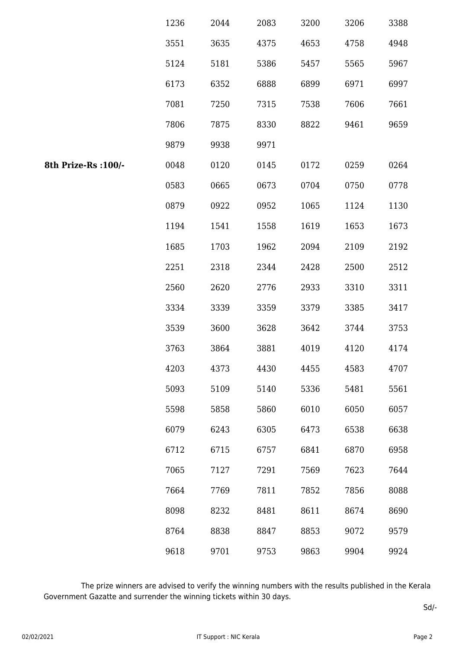|                      | 1236 | 2044 | 2083 | 3200 | 3206 | 3388 |
|----------------------|------|------|------|------|------|------|
|                      | 3551 | 3635 | 4375 | 4653 | 4758 | 4948 |
|                      | 5124 | 5181 | 5386 | 5457 | 5565 | 5967 |
|                      | 6173 | 6352 | 6888 | 6899 | 6971 | 6997 |
|                      | 7081 | 7250 | 7315 | 7538 | 7606 | 7661 |
|                      | 7806 | 7875 | 8330 | 8822 | 9461 | 9659 |
|                      | 9879 | 9938 | 9971 |      |      |      |
| 8th Prize-Rs : 100/- | 0048 | 0120 | 0145 | 0172 | 0259 | 0264 |
|                      | 0583 | 0665 | 0673 | 0704 | 0750 | 0778 |
|                      | 0879 | 0922 | 0952 | 1065 | 1124 | 1130 |
|                      | 1194 | 1541 | 1558 | 1619 | 1653 | 1673 |
|                      | 1685 | 1703 | 1962 | 2094 | 2109 | 2192 |
|                      | 2251 | 2318 | 2344 | 2428 | 2500 | 2512 |
|                      | 2560 | 2620 | 2776 | 2933 | 3310 | 3311 |
|                      | 3334 | 3339 | 3359 | 3379 | 3385 | 3417 |
|                      | 3539 | 3600 | 3628 | 3642 | 3744 | 3753 |
|                      | 3763 | 3864 | 3881 | 4019 | 4120 | 4174 |
|                      | 4203 | 4373 | 4430 | 4455 | 4583 | 4707 |
|                      | 5093 | 5109 | 5140 | 5336 | 5481 | 5561 |
|                      | 5598 | 5858 | 5860 | 6010 | 6050 | 6057 |
|                      | 6079 | 6243 | 6305 | 6473 | 6538 | 6638 |
|                      | 6712 | 6715 | 6757 | 6841 | 6870 | 6958 |
|                      | 7065 | 7127 | 7291 | 7569 | 7623 | 7644 |
|                      | 7664 | 7769 | 7811 | 7852 | 7856 | 8088 |
|                      | 8098 | 8232 | 8481 | 8611 | 8674 | 8690 |
|                      | 8764 | 8838 | 8847 | 8853 | 9072 | 9579 |
|                      | 9618 | 9701 | 9753 | 9863 | 9904 | 9924 |

 The prize winners are advised to verify the winning numbers with the results published in the Kerala Government Gazatte and surrender the winning tickets within 30 days.